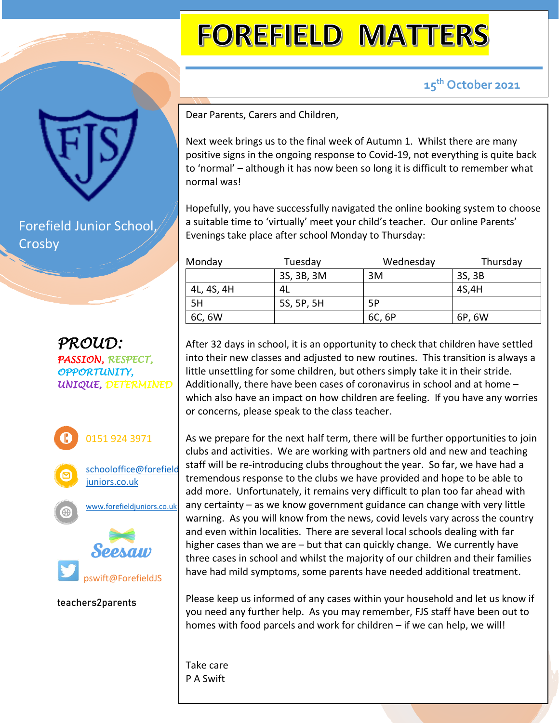## **FOREFIELD MATTERS**

 **15th October 2021**

Dear Parents, Carers and Children,

Next week brings us to the final week of Autumn 1. Whilst there are many positive signs in the ongoing response to Covid-19, not everything is quite back to 'normal' – although it has now been so long it is difficult to remember what normal was!

Hopefully, you have successfully navigated the online booking system to choose a suitable time to 'virtually' meet your child's teacher. Our online Parents' Evenings take place after school Monday to Thursday:

| Monday     | Tuesday    | Wednesday | Thursday |
|------------|------------|-----------|----------|
|            | 3S, 3B, 3M | 3M        | 3S, 3B   |
| 4L, 4S, 4H | 4L         |           | 4S,4H    |
| 5H         | 5S, 5P, 5H | .5P       |          |
| 6C, 6W     |            | 6C, 6P    | 6P, 6W   |

After 32 days in school, it is an opportunity to check that children have settled into their new classes and adjusted to new routines. This transition is always a little unsettling for some children, but others simply take it in their stride. Additionally, there have been cases of coronavirus in school and at home – which also have an impact on how children are feeling. If you have any worries or concerns, please speak to the class teacher.

As we prepare for the next half term, there will be further opportunities to join clubs and activities. We are working with partners old and new and teaching staff will be re-introducing clubs throughout the year. So far, we have had a tremendous response to the clubs we have provided and hope to be able to add more. Unfortunately, it remains very difficult to plan too far ahead with any certainty – as we know government guidance can change with very little warning. As you will know from the news, covid levels vary across the country and even within localities. There are several local schools dealing with far higher cases than we are – but that can quickly change. We currently have three cases in school and whilst the majority of our children and their families have had mild symptoms, some parents have needed additional treatment.

Please keep us informed of any cases within your household and let us know if you need any further help. As you may remember, FJS staff have been out to homes with food parcels and work for children – if we can help, we will!

Take care P A Swift

Forefield Junior School, Crosby

*PROUD: PASSION, RESPECT, OPPORTUNITY, UNIQUE, DETERMINED*



**teachers2parents**